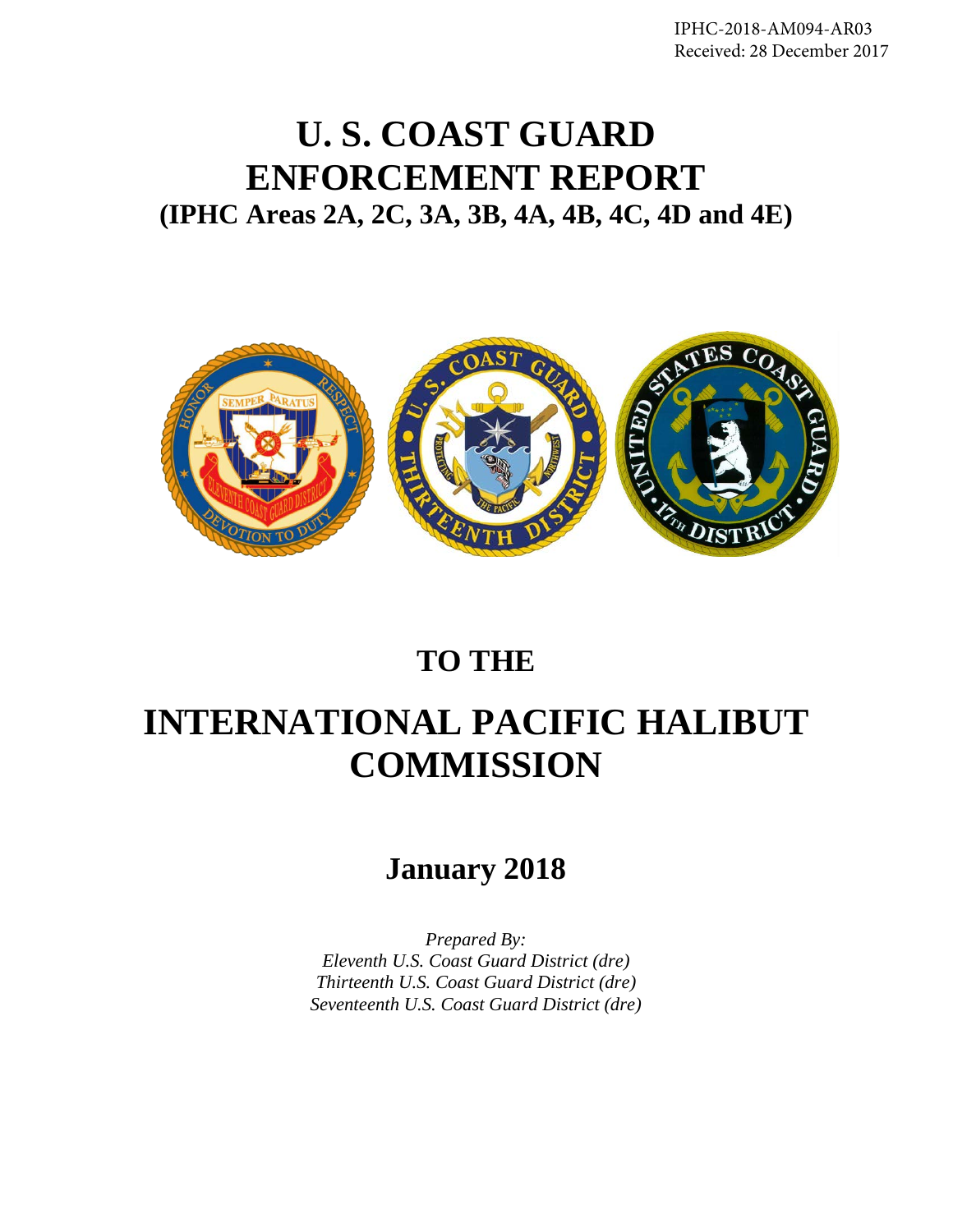IPHC-2018-AM094-AR03 Received: 28 December 2017

# **U. S. COAST GUARD ENFORCEMENT REPORT (IPHC Areas 2A, 2C, 3A, 3B, 4A, 4B, 4C, 4D and 4E)**



# **TO THE**

# **INTERNATIONAL PACIFIC HALIBUT COMMISSION**

# **January 2018**

*Prepared By: Eleventh U.S. Coast Guard District (dre) Thirteenth U.S. Coast Guard District (dre) Seventeenth U.S. Coast Guard District (dre)*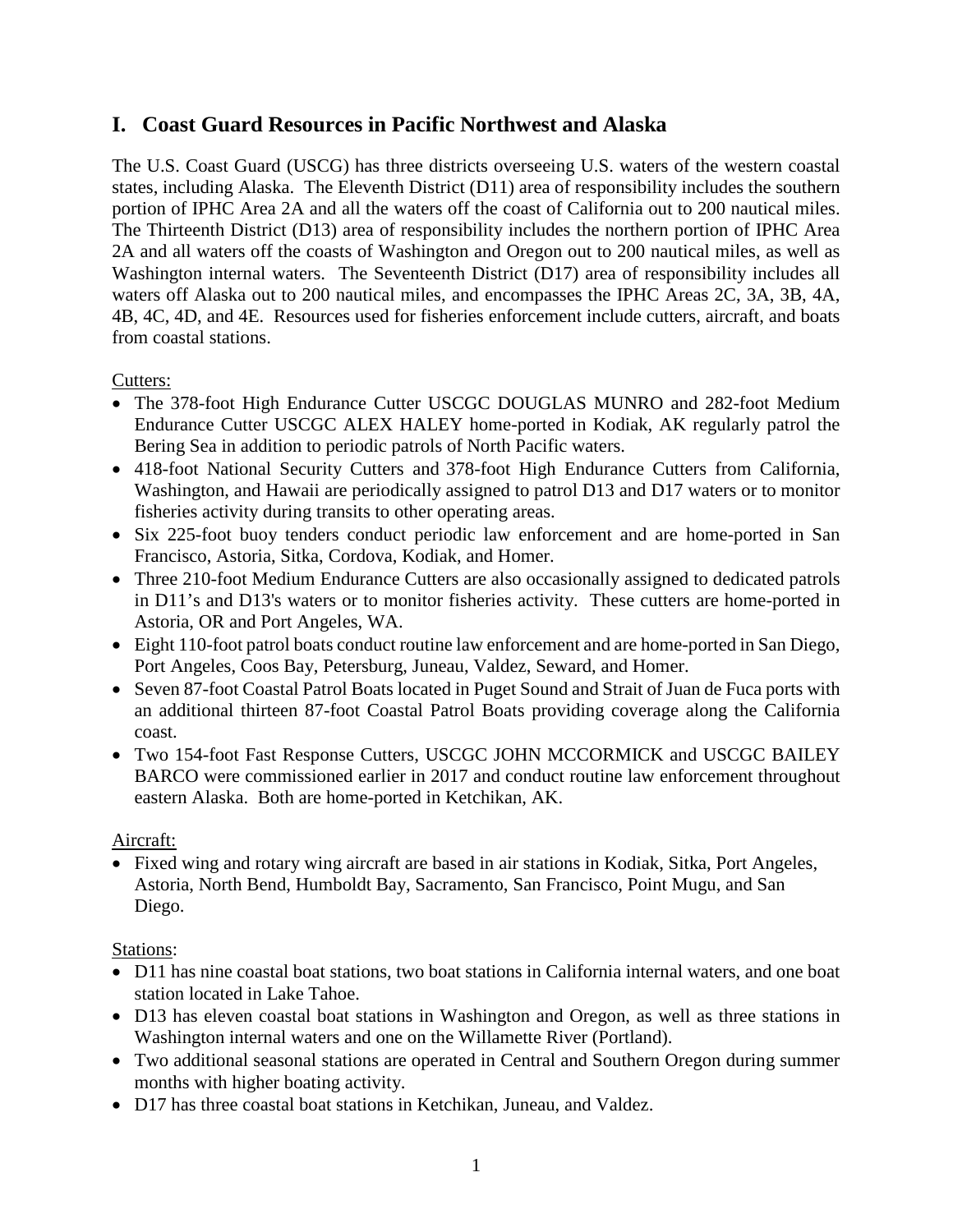# **I. Coast Guard Resources in Pacific Northwest and Alaska**

The U.S. Coast Guard (USCG) has three districts overseeing U.S. waters of the western coastal states, including Alaska. The Eleventh District (D11) area of responsibility includes the southern portion of IPHC Area 2A and all the waters off the coast of California out to 200 nautical miles. The Thirteenth District (D13) area of responsibility includes the northern portion of IPHC Area 2A and all waters off the coasts of Washington and Oregon out to 200 nautical miles, as well as Washington internal waters. The Seventeenth District (D17) area of responsibility includes all waters off Alaska out to 200 nautical miles, and encompasses the IPHC Areas 2C, 3A, 3B, 4A, 4B, 4C, 4D, and 4E. Resources used for fisheries enforcement include cutters, aircraft, and boats from coastal stations.

#### Cutters:

- The 378-foot High Endurance Cutter USCGC DOUGLAS MUNRO and 282-foot Medium Endurance Cutter USCGC ALEX HALEY home-ported in Kodiak, AK regularly patrol the Bering Sea in addition to periodic patrols of North Pacific waters.
- 418-foot National Security Cutters and 378-foot High Endurance Cutters from California, Washington, and Hawaii are periodically assigned to patrol D13 and D17 waters or to monitor fisheries activity during transits to other operating areas.
- Six 225-foot buoy tenders conduct periodic law enforcement and are home-ported in San Francisco, Astoria, Sitka, Cordova, Kodiak, and Homer.
- Three 210-foot Medium Endurance Cutters are also occasionally assigned to dedicated patrols in D11's and D13's waters or to monitor fisheries activity. These cutters are home-ported in Astoria, OR and Port Angeles, WA.
- Eight 110-foot patrol boats conduct routine law enforcement and are home-ported in San Diego, Port Angeles, Coos Bay, Petersburg, Juneau, Valdez, Seward, and Homer.
- Seven 87-foot Coastal Patrol Boats located in Puget Sound and Strait of Juan de Fuca ports with an additional thirteen 87-foot Coastal Patrol Boats providing coverage along the California coast.
- Two 154-foot Fast Response Cutters, USCGC JOHN MCCORMICK and USCGC BAILEY BARCO were commissioned earlier in 2017 and conduct routine law enforcement throughout eastern Alaska. Both are home-ported in Ketchikan, AK.

#### Aircraft:

• Fixed wing and rotary wing aircraft are based in air stations in Kodiak, Sitka, Port Angeles, Astoria, North Bend, Humboldt Bay, Sacramento, San Francisco, Point Mugu, and San Diego.

### Stations:

- D11 has nine coastal boat stations, two boat stations in California internal waters, and one boat station located in Lake Tahoe.
- D13 has eleven coastal boat stations in Washington and Oregon, as well as three stations in Washington internal waters and one on the Willamette River (Portland).
- Two additional seasonal stations are operated in Central and Southern Oregon during summer months with higher boating activity.
- D17 has three coastal boat stations in Ketchikan, Juneau, and Valdez.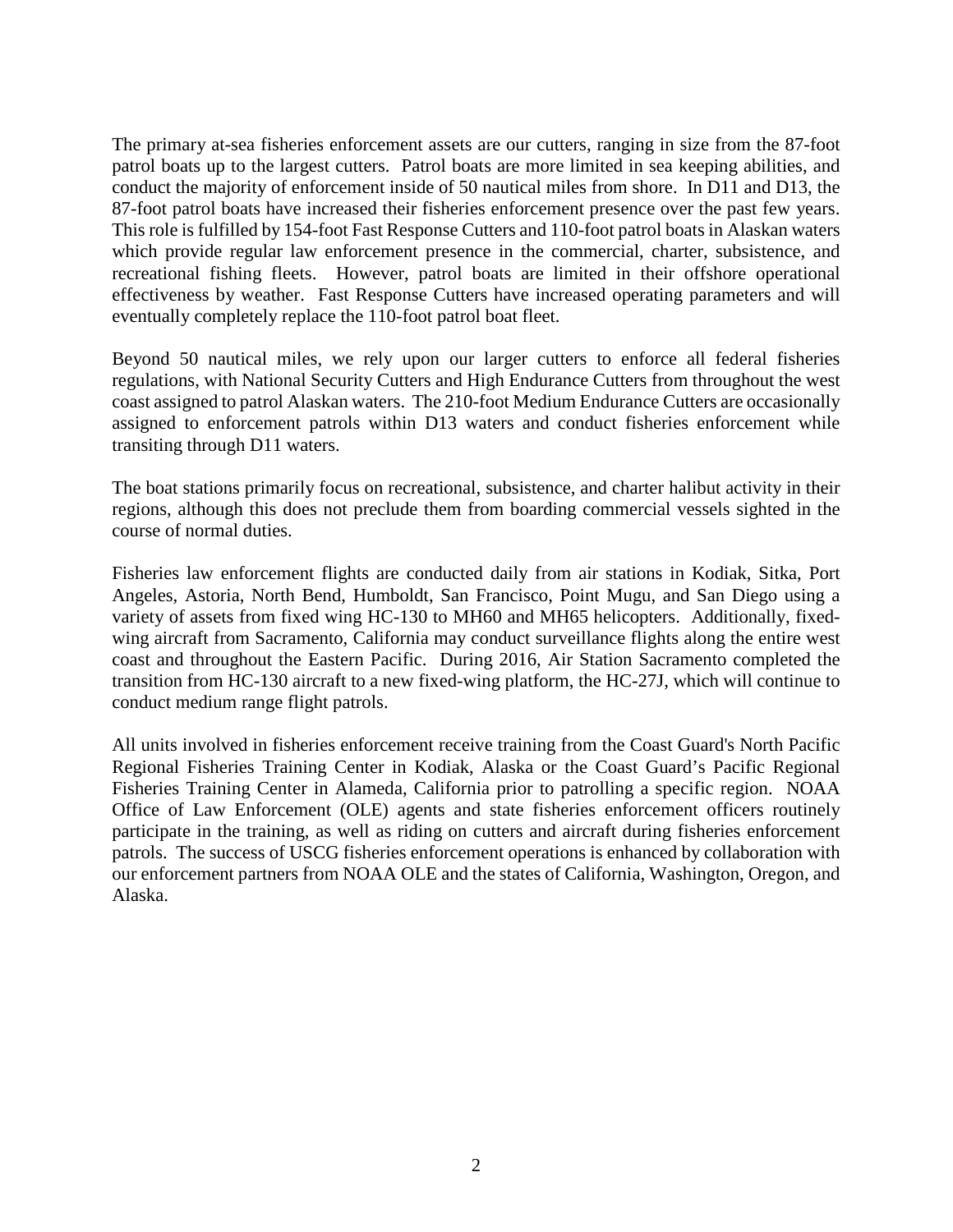The primary at-sea fisheries enforcement assets are our cutters, ranging in size from the 87-foot patrol boats up to the largest cutters. Patrol boats are more limited in sea keeping abilities, and conduct the majority of enforcement inside of 50 nautical miles from shore. In D11 and D13, the 87-foot patrol boats have increased their fisheries enforcement presence over the past few years. This role is fulfilled by 154-foot Fast Response Cutters and 110-foot patrol boats in Alaskan waters which provide regular law enforcement presence in the commercial, charter, subsistence, and recreational fishing fleets. However, patrol boats are limited in their offshore operational effectiveness by weather. Fast Response Cutters have increased operating parameters and will eventually completely replace the 110-foot patrol boat fleet.

Beyond 50 nautical miles, we rely upon our larger cutters to enforce all federal fisheries regulations, with National Security Cutters and High Endurance Cutters from throughout the west coast assigned to patrol Alaskan waters. The 210-foot Medium Endurance Cutters are occasionally assigned to enforcement patrols within D13 waters and conduct fisheries enforcement while transiting through D11 waters.

The boat stations primarily focus on recreational, subsistence, and charter halibut activity in their regions, although this does not preclude them from boarding commercial vessels sighted in the course of normal duties.

Fisheries law enforcement flights are conducted daily from air stations in Kodiak, Sitka, Port Angeles, Astoria, North Bend, Humboldt, San Francisco, Point Mugu, and San Diego using a variety of assets from fixed wing HC-130 to MH60 and MH65 helicopters. Additionally, fixedwing aircraft from Sacramento, California may conduct surveillance flights along the entire west coast and throughout the Eastern Pacific. During 2016, Air Station Sacramento completed the transition from HC-130 aircraft to a new fixed-wing platform, the HC-27J, which will continue to conduct medium range flight patrols.

All units involved in fisheries enforcement receive training from the Coast Guard's North Pacific Regional Fisheries Training Center in Kodiak, Alaska or the Coast Guard's Pacific Regional Fisheries Training Center in Alameda, California prior to patrolling a specific region. NOAA Office of Law Enforcement (OLE) agents and state fisheries enforcement officers routinely participate in the training, as well as riding on cutters and aircraft during fisheries enforcement patrols. The success of USCG fisheries enforcement operations is enhanced by collaboration with our enforcement partners from NOAA OLE and the states of California, Washington, Oregon, and Alaska.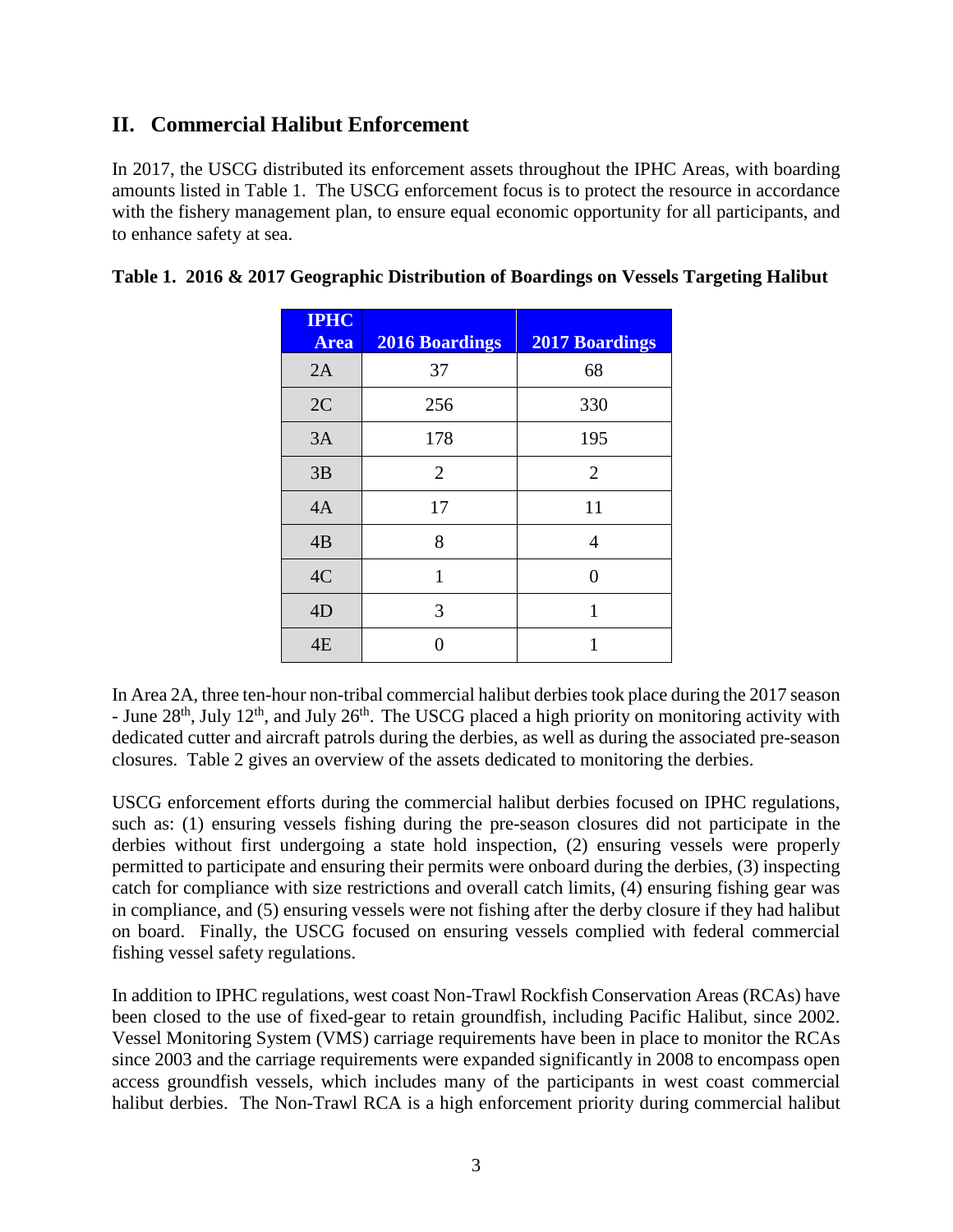# **II. Commercial Halibut Enforcement**

In 2017, the USCG distributed its enforcement assets throughout the IPHC Areas, with boarding amounts listed in Table 1. The USCG enforcement focus is to protect the resource in accordance with the fishery management plan, to ensure equal economic opportunity for all participants, and to enhance safety at sea.

| <b>IPHC</b><br><b>Area</b> | <b>2016 Boardings</b> | <b>2017 Boardings</b> |
|----------------------------|-----------------------|-----------------------|
| 2A                         | 37                    | 68                    |
| 2C                         | 256                   | 330                   |
| 3A                         | 178                   | 195                   |
| 3B                         | $\overline{2}$        | $\overline{2}$        |
| 4A                         | 17                    | 11                    |
| 4B                         | 8                     | $\overline{4}$        |
| 4C                         | 1                     | 0                     |
| 4D                         | 3                     | 1                     |
| 4E                         |                       | 1                     |

|  |  |  |  | Table 1. 2016 & 2017 Geographic Distribution of Boardings on Vessels Targeting Halibut |
|--|--|--|--|----------------------------------------------------------------------------------------|
|--|--|--|--|----------------------------------------------------------------------------------------|

In Area 2A, three ten-hour non-tribal commercial halibut derbies took place during the 2017 season - June  $28<sup>th</sup>$ , July 12<sup>th</sup>, and July  $26<sup>th</sup>$ . The USCG placed a high priority on monitoring activity with dedicated cutter and aircraft patrols during the derbies, as well as during the associated pre-season closures. Table 2 gives an overview of the assets dedicated to monitoring the derbies.

USCG enforcement efforts during the commercial halibut derbies focused on IPHC regulations, such as: (1) ensuring vessels fishing during the pre-season closures did not participate in the derbies without first undergoing a state hold inspection, (2) ensuring vessels were properly permitted to participate and ensuring their permits were onboard during the derbies, (3) inspecting catch for compliance with size restrictions and overall catch limits, (4) ensuring fishing gear was in compliance, and (5) ensuring vessels were not fishing after the derby closure if they had halibut on board. Finally, the USCG focused on ensuring vessels complied with federal commercial fishing vessel safety regulations.

In addition to IPHC regulations, west coast Non-Trawl Rockfish Conservation Areas (RCAs) have been closed to the use of fixed-gear to retain groundfish, including Pacific Halibut, since 2002. Vessel Monitoring System (VMS) carriage requirements have been in place to monitor the RCAs since 2003 and the carriage requirements were expanded significantly in 2008 to encompass open access groundfish vessels, which includes many of the participants in west coast commercial halibut derbies. The Non-Trawl RCA is a high enforcement priority during commercial halibut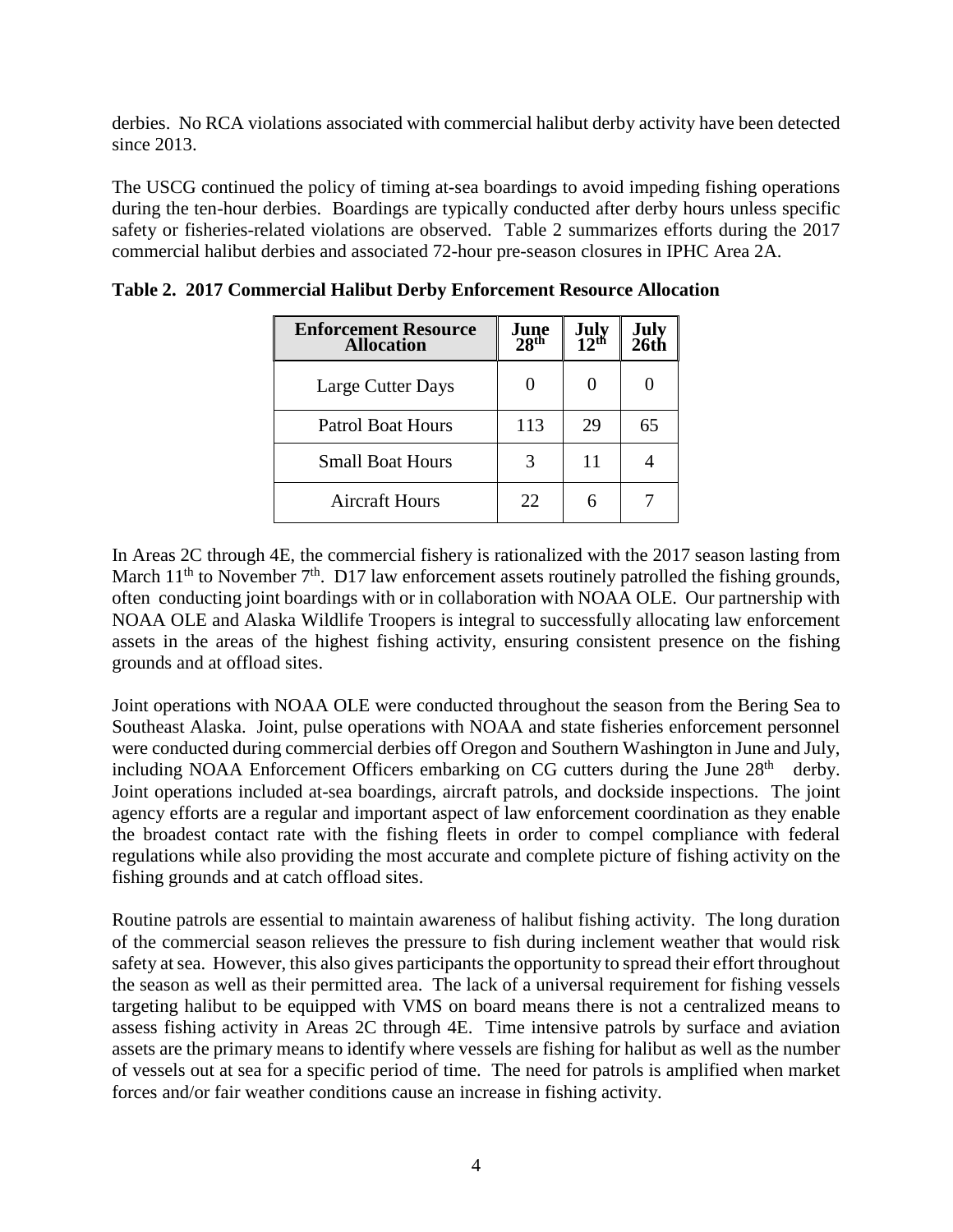derbies. No RCA violations associated with commercial halibut derby activity have been detected since 2013.

The USCG continued the policy of timing at-sea boardings to avoid impeding fishing operations during the ten-hour derbies. Boardings are typically conducted after derby hours unless specific safety or fisheries-related violations are observed. Table 2 summarizes efforts during the 2017 commercial halibut derbies and associated 72-hour pre-season closures in IPHC Area 2A.

| <b>Enforcement Resource</b><br><b>Allocation</b> | June<br>28 <sup>th</sup> | July <sub>12</sub> th | July<br>26th |
|--------------------------------------------------|--------------------------|-----------------------|--------------|
| Large Cutter Days                                |                          |                       |              |
| <b>Patrol Boat Hours</b>                         | 113                      | 29                    | 65           |
| <b>Small Boat Hours</b>                          |                          | 11                    |              |
| Aircraft Hours                                   | 22                       |                       |              |

**Table 2. 2017 Commercial Halibut Derby Enforcement Resource Allocation**

In Areas 2C through 4E, the commercial fishery is rationalized with the 2017 season lasting from March  $11<sup>th</sup>$  to November  $7<sup>th</sup>$ . D17 law enforcement assets routinely patrolled the fishing grounds, often conducting joint boardings with or in collaboration with NOAA OLE. Our partnership with NOAA OLE and Alaska Wildlife Troopers is integral to successfully allocating law enforcement assets in the areas of the highest fishing activity, ensuring consistent presence on the fishing grounds and at offload sites.

Joint operations with NOAA OLE were conducted throughout the season from the Bering Sea to Southeast Alaska. Joint, pulse operations with NOAA and state fisheries enforcement personnel were conducted during commercial derbies off Oregon and Southern Washington in June and July, including NOAA Enforcement Officers embarking on CG cutters during the June  $28<sup>th</sup>$  derby. Joint operations included at-sea boardings, aircraft patrols, and dockside inspections. The joint agency efforts are a regular and important aspect of law enforcement coordination as they enable the broadest contact rate with the fishing fleets in order to compel compliance with federal regulations while also providing the most accurate and complete picture of fishing activity on the fishing grounds and at catch offload sites.

Routine patrols are essential to maintain awareness of halibut fishing activity. The long duration of the commercial season relieves the pressure to fish during inclement weather that would risk safety at sea. However, this also gives participants the opportunity to spread their effort throughout the season as well as their permitted area. The lack of a universal requirement for fishing vessels targeting halibut to be equipped with VMS on board means there is not a centralized means to assess fishing activity in Areas 2C through 4E. Time intensive patrols by surface and aviation assets are the primary means to identify where vessels are fishing for halibut as well as the number of vessels out at sea for a specific period of time. The need for patrols is amplified when market forces and/or fair weather conditions cause an increase in fishing activity.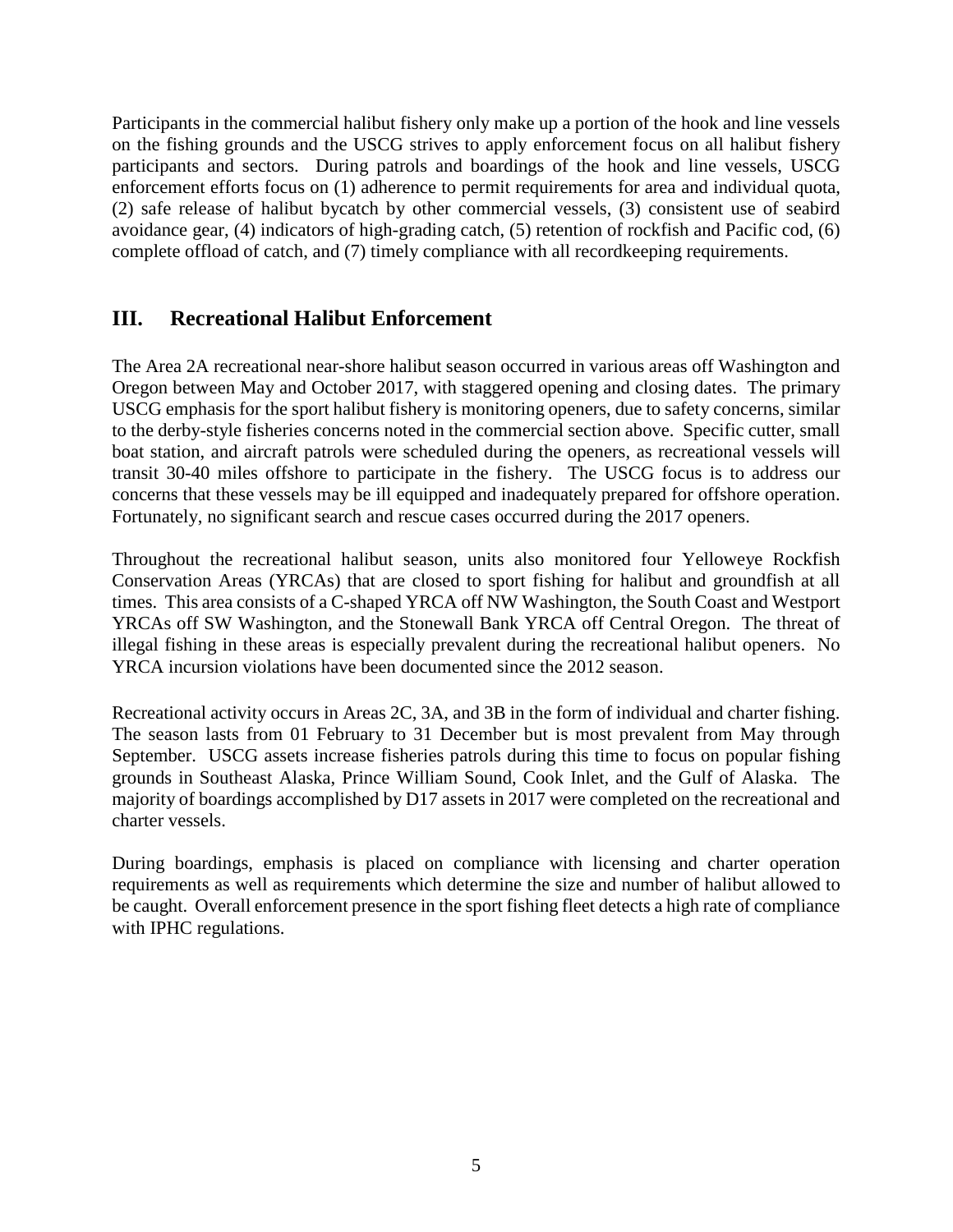Participants in the commercial halibut fishery only make up a portion of the hook and line vessels on the fishing grounds and the USCG strives to apply enforcement focus on all halibut fishery participants and sectors. During patrols and boardings of the hook and line vessels, USCG enforcement efforts focus on (1) adherence to permit requirements for area and individual quota, (2) safe release of halibut bycatch by other commercial vessels, (3) consistent use of seabird avoidance gear, (4) indicators of high-grading catch, (5) retention of rockfish and Pacific cod, (6) complete offload of catch, and (7) timely compliance with all recordkeeping requirements.

# **III. Recreational Halibut Enforcement**

The Area 2A recreational near-shore halibut season occurred in various areas off Washington and Oregon between May and October 2017, with staggered opening and closing dates. The primary USCG emphasis for the sport halibut fishery is monitoring openers, due to safety concerns, similar to the derby-style fisheries concerns noted in the commercial section above. Specific cutter, small boat station, and aircraft patrols were scheduled during the openers, as recreational vessels will transit 30-40 miles offshore to participate in the fishery. The USCG focus is to address our concerns that these vessels may be ill equipped and inadequately prepared for offshore operation. Fortunately, no significant search and rescue cases occurred during the 2017 openers.

Throughout the recreational halibut season, units also monitored four Yelloweye Rockfish Conservation Areas (YRCAs) that are closed to sport fishing for halibut and groundfish at all times. This area consists of a C-shaped YRCA off NW Washington, the South Coast and Westport YRCAs off SW Washington, and the Stonewall Bank YRCA off Central Oregon. The threat of illegal fishing in these areas is especially prevalent during the recreational halibut openers. No YRCA incursion violations have been documented since the 2012 season.

Recreational activity occurs in Areas 2C, 3A, and 3B in the form of individual and charter fishing. The season lasts from 01 February to 31 December but is most prevalent from May through September. USCG assets increase fisheries patrols during this time to focus on popular fishing grounds in Southeast Alaska, Prince William Sound, Cook Inlet, and the Gulf of Alaska. The majority of boardings accomplished by D17 assets in 2017 were completed on the recreational and charter vessels.

During boardings, emphasis is placed on compliance with licensing and charter operation requirements as well as requirements which determine the size and number of halibut allowed to be caught. Overall enforcement presence in the sport fishing fleet detects a high rate of compliance with IPHC regulations.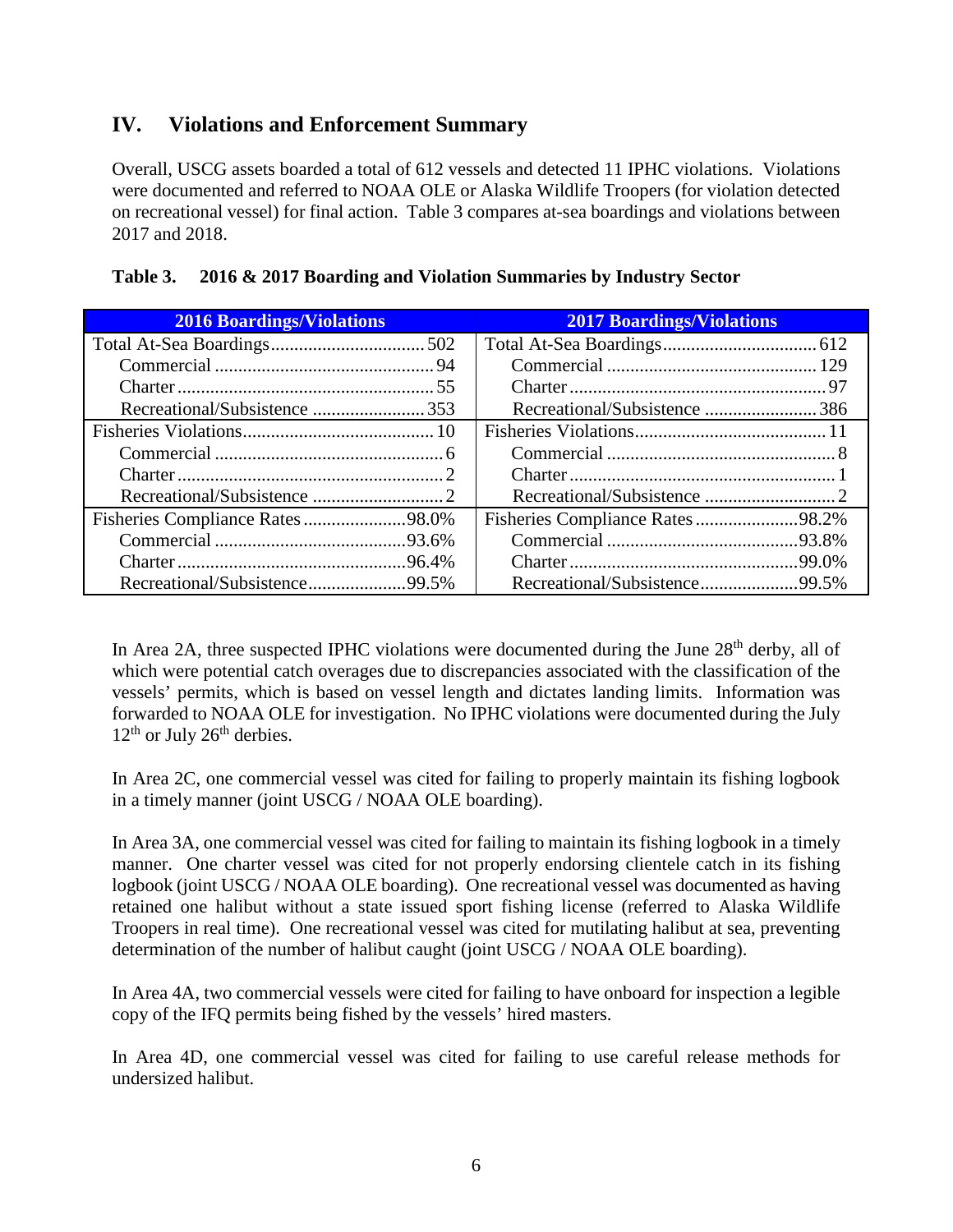## **IV. Violations and Enforcement Summary**

Overall, USCG assets boarded a total of 612 vessels and detected 11 IPHC violations. Violations were documented and referred to NOAA OLE or Alaska Wildlife Troopers (for violation detected on recreational vessel) for final action. Table 3 compares at-sea boardings and violations between 2017 and 2018.

| <b>2016 Boardings/Violations</b><br><b>Contract Contract Contract Contract Contract Contract Contract Contract Contract Contract Contract Contract Co</b> | <b>Contract Contract</b><br><b>2017 Boardings/Violations</b> |
|-----------------------------------------------------------------------------------------------------------------------------------------------------------|--------------------------------------------------------------|
|                                                                                                                                                           |                                                              |
|                                                                                                                                                           |                                                              |
|                                                                                                                                                           |                                                              |
|                                                                                                                                                           |                                                              |
|                                                                                                                                                           |                                                              |
|                                                                                                                                                           |                                                              |
|                                                                                                                                                           |                                                              |
|                                                                                                                                                           |                                                              |
|                                                                                                                                                           |                                                              |
|                                                                                                                                                           |                                                              |
|                                                                                                                                                           |                                                              |
|                                                                                                                                                           |                                                              |

| Table 3. | 2016 & 2017 Boarding and Violation Summaries by Industry Sector |
|----------|-----------------------------------------------------------------|
|----------|-----------------------------------------------------------------|

In Area 2A, three suspected IPHC violations were documented during the June 28<sup>th</sup> derby, all of which were potential catch overages due to discrepancies associated with the classification of the vessels' permits, which is based on vessel length and dictates landing limits. Information was forwarded to NOAA OLE for investigation. No IPHC violations were documented during the July  $12<sup>th</sup>$  or July  $26<sup>th</sup>$  derbies.

In Area 2C, one commercial vessel was cited for failing to properly maintain its fishing logbook in a timely manner (joint USCG / NOAA OLE boarding).

In Area 3A, one commercial vessel was cited for failing to maintain its fishing logbook in a timely manner. One charter vessel was cited for not properly endorsing clientele catch in its fishing logbook (joint USCG / NOAA OLE boarding). One recreational vessel was documented as having retained one halibut without a state issued sport fishing license (referred to Alaska Wildlife Troopers in real time). One recreational vessel was cited for mutilating halibut at sea, preventing determination of the number of halibut caught (joint USCG / NOAA OLE boarding).

In Area 4A, two commercial vessels were cited for failing to have onboard for inspection a legible copy of the IFQ permits being fished by the vessels' hired masters.

In Area 4D, one commercial vessel was cited for failing to use careful release methods for undersized halibut.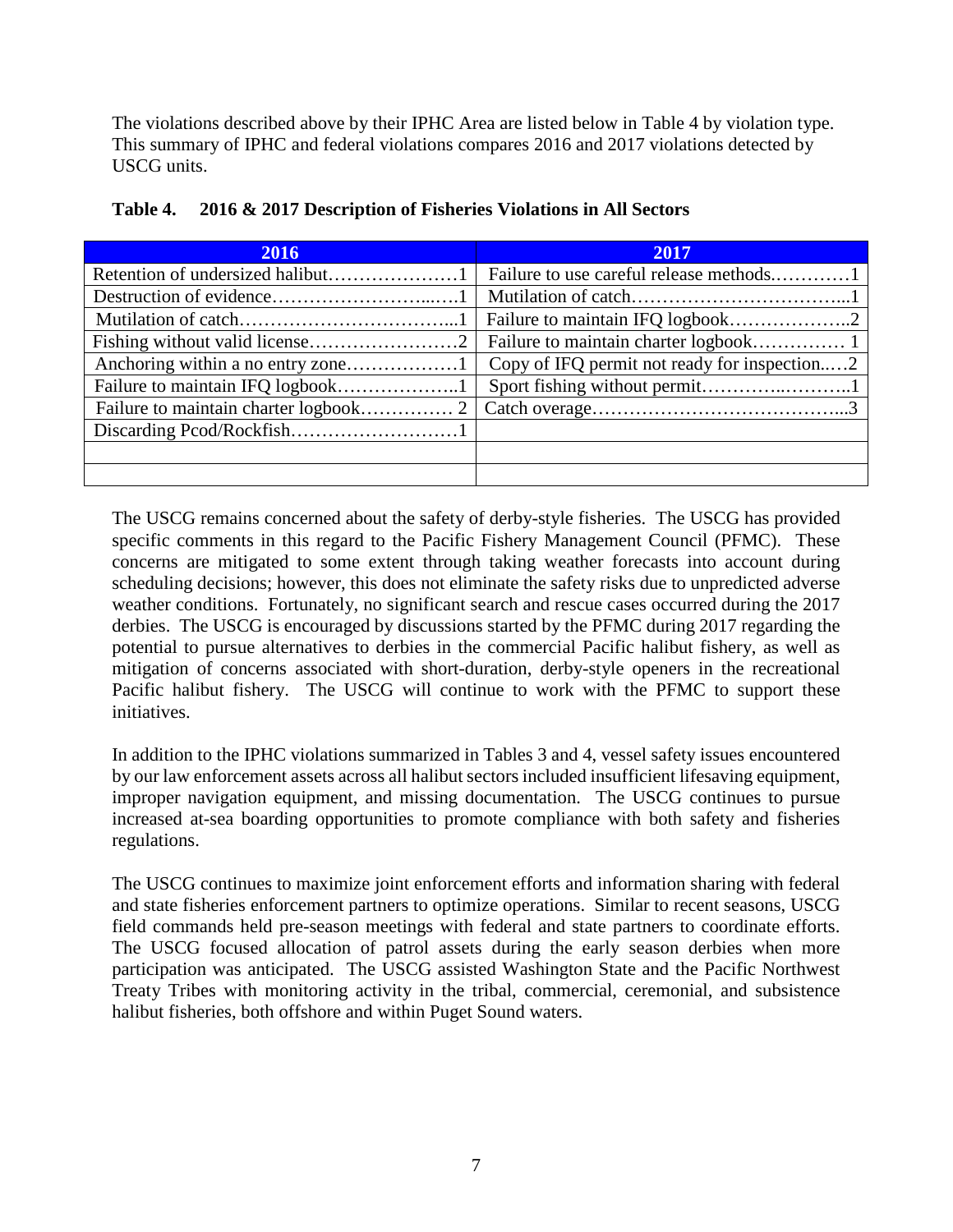The violations described above by their IPHC Area are listed below in Table 4 by violation type. This summary of IPHC and federal violations compares 2016 and 2017 violations detected by USCG units.

| 2016 | 2017<br>$\mathcal{L}(\mathcal{L})$ and $\mathcal{L}(\mathcal{L})$ and $\mathcal{L}(\mathcal{L})$ and $\mathcal{L}(\mathcal{L})$ |
|------|---------------------------------------------------------------------------------------------------------------------------------|
|      |                                                                                                                                 |
|      |                                                                                                                                 |
|      |                                                                                                                                 |
|      |                                                                                                                                 |
|      | Copy of IFQ permit not ready for inspection2                                                                                    |
|      |                                                                                                                                 |
|      |                                                                                                                                 |
|      |                                                                                                                                 |
|      |                                                                                                                                 |
|      |                                                                                                                                 |

| Table 4. 2016 & 2017 Description of Fisheries Violations in All Sectors |
|-------------------------------------------------------------------------|
|                                                                         |

The USCG remains concerned about the safety of derby-style fisheries. The USCG has provided specific comments in this regard to the Pacific Fishery Management Council (PFMC). These concerns are mitigated to some extent through taking weather forecasts into account during scheduling decisions; however, this does not eliminate the safety risks due to unpredicted adverse weather conditions. Fortunately, no significant search and rescue cases occurred during the 2017 derbies. The USCG is encouraged by discussions started by the PFMC during 2017 regarding the potential to pursue alternatives to derbies in the commercial Pacific halibut fishery, as well as mitigation of concerns associated with short-duration, derby-style openers in the recreational Pacific halibut fishery. The USCG will continue to work with the PFMC to support these initiatives.

In addition to the IPHC violations summarized in Tables 3 and 4, vessel safety issues encountered by our law enforcement assets across all halibut sectors included insufficient lifesaving equipment, improper navigation equipment, and missing documentation. The USCG continues to pursue increased at-sea boarding opportunities to promote compliance with both safety and fisheries regulations.

The USCG continues to maximize joint enforcement efforts and information sharing with federal and state fisheries enforcement partners to optimize operations. Similar to recent seasons, USCG field commands held pre-season meetings with federal and state partners to coordinate efforts. The USCG focused allocation of patrol assets during the early season derbies when more participation was anticipated. The USCG assisted Washington State and the Pacific Northwest Treaty Tribes with monitoring activity in the tribal, commercial, ceremonial, and subsistence halibut fisheries, both offshore and within Puget Sound waters.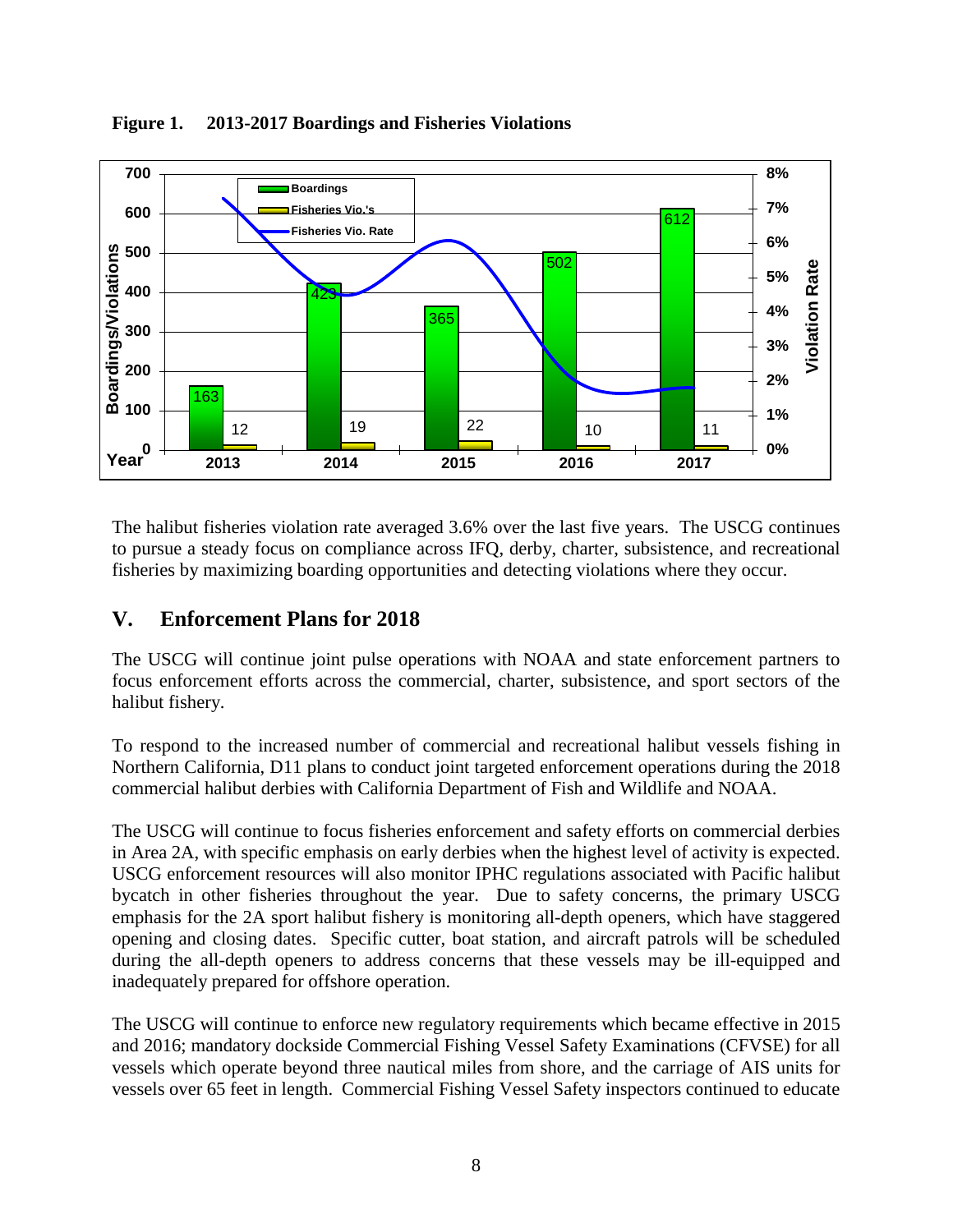

**Figure 1. 2013-2017 Boardings and Fisheries Violations** 

The halibut fisheries violation rate averaged 3.6% over the last five years. The USCG continues to pursue a steady focus on compliance across IFQ, derby, charter, subsistence, and recreational fisheries by maximizing boarding opportunities and detecting violations where they occur.

# **V. Enforcement Plans for 2018**

The USCG will continue joint pulse operations with NOAA and state enforcement partners to focus enforcement efforts across the commercial, charter, subsistence, and sport sectors of the halibut fishery.

To respond to the increased number of commercial and recreational halibut vessels fishing in Northern California, D11 plans to conduct joint targeted enforcement operations during the 2018 commercial halibut derbies with California Department of Fish and Wildlife and NOAA.

The USCG will continue to focus fisheries enforcement and safety efforts on commercial derbies in Area 2A, with specific emphasis on early derbies when the highest level of activity is expected. USCG enforcement resources will also monitor IPHC regulations associated with Pacific halibut bycatch in other fisheries throughout the year. Due to safety concerns, the primary USCG emphasis for the 2A sport halibut fishery is monitoring all-depth openers, which have staggered opening and closing dates. Specific cutter, boat station, and aircraft patrols will be scheduled during the all-depth openers to address concerns that these vessels may be ill-equipped and inadequately prepared for offshore operation.

The USCG will continue to enforce new regulatory requirements which became effective in 2015 and 2016; mandatory dockside Commercial Fishing Vessel Safety Examinations (CFVSE) for all vessels which operate beyond three nautical miles from shore, and the carriage of AIS units for vessels over 65 feet in length. Commercial Fishing Vessel Safety inspectors continued to educate